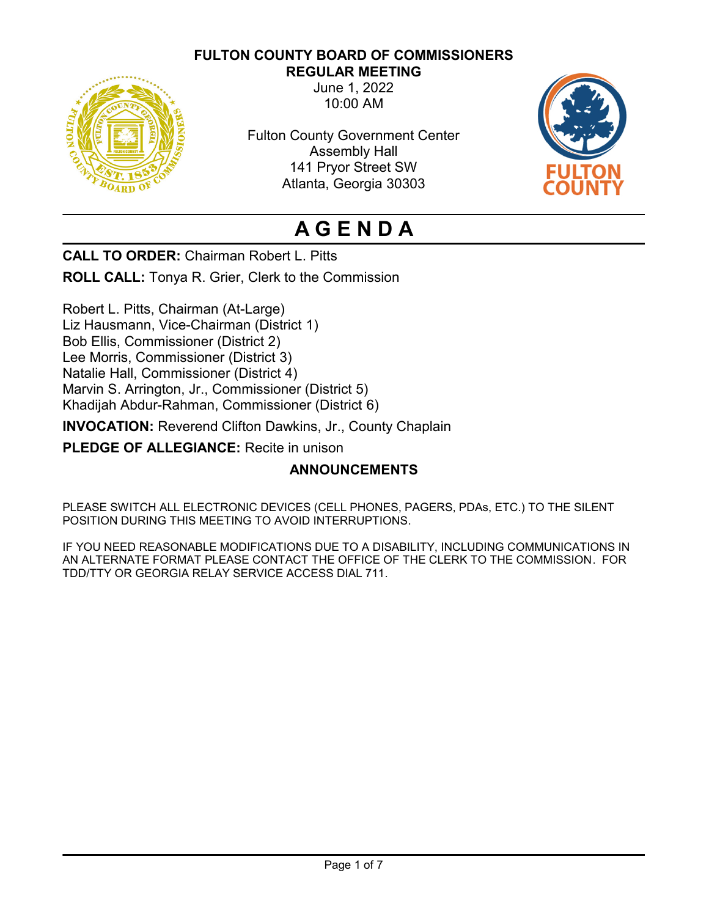# **FULTON COUNTY BOARD OF COMMISSIONERS**



**REGULAR MEETING** June 1, 2022 10:00 AM

Fulton County Government Center Assembly Hall 141 Pryor Street SW Atlanta, Georgia 30303



# **A G E N D A**

**CALL TO ORDER:** Chairman Robert L. Pitts

**ROLL CALL:** Tonya R. Grier, Clerk to the Commission

Robert L. Pitts, Chairman (At-Large) Liz Hausmann, Vice-Chairman (District 1) Bob Ellis, Commissioner (District 2) Lee Morris, Commissioner (District 3) Natalie Hall, Commissioner (District 4) Marvin S. Arrington, Jr., Commissioner (District 5) Khadijah Abdur-Rahman, Commissioner (District 6)

**INVOCATION:** Reverend Clifton Dawkins, Jr., County Chaplain

**PLEDGE OF ALLEGIANCE:** Recite in unison

# **ANNOUNCEMENTS**

PLEASE SWITCH ALL ELECTRONIC DEVICES (CELL PHONES, PAGERS, PDAs, ETC.) TO THE SILENT POSITION DURING THIS MEETING TO AVOID INTERRUPTIONS.

IF YOU NEED REASONABLE MODIFICATIONS DUE TO A DISABILITY, INCLUDING COMMUNICATIONS IN AN ALTERNATE FORMAT PLEASE CONTACT THE OFFICE OF THE CLERK TO THE COMMISSION. FOR TDD/TTY OR GEORGIA RELAY SERVICE ACCESS DIAL 711.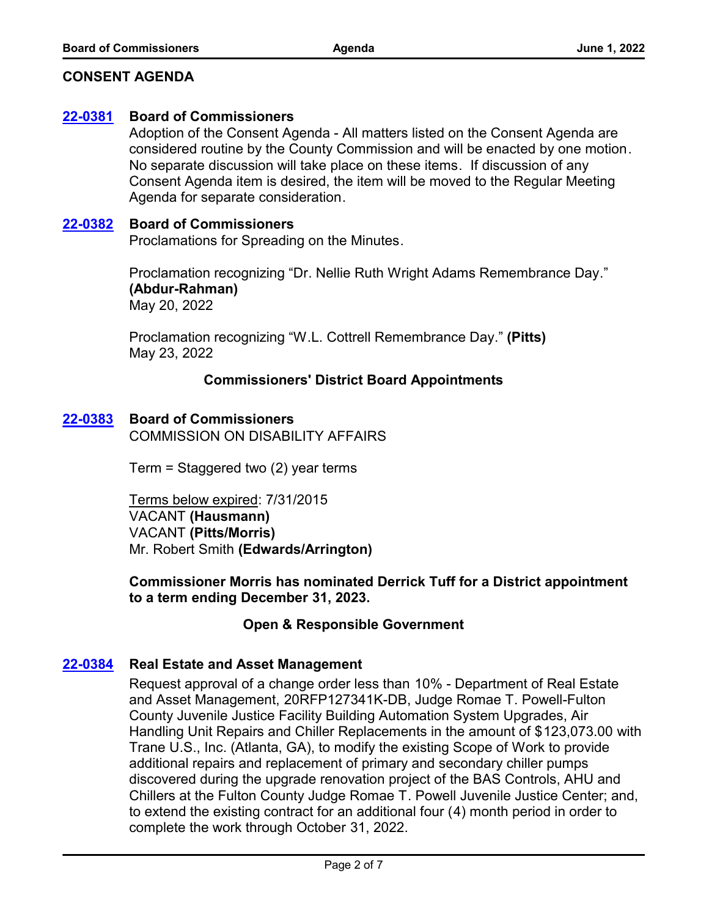## **CONSENT AGENDA**

#### **[22-0381](http://fulton.legistar.com/gateway.aspx?m=l&id=/matter.aspx?key=10879) Board of Commissioners**

Adoption of the Consent Agenda - All matters listed on the Consent Agenda are considered routine by the County Commission and will be enacted by one motion. No separate discussion will take place on these items. If discussion of any Consent Agenda item is desired, the item will be moved to the Regular Meeting Agenda for separate consideration.

#### **[22-0382](http://fulton.legistar.com/gateway.aspx?m=l&id=/matter.aspx?key=10880) Board of Commissioners**

Proclamations for Spreading on the Minutes.

Proclamation recognizing "Dr. Nellie Ruth Wright Adams Remembrance Day." **(Abdur-Rahman)** May 20, 2022

Proclamation recognizing "W.L. Cottrell Remembrance Day." **(Pitts)** May 23, 2022

## **Commissioners' District Board Appointments**

## **[22-0383](http://fulton.legistar.com/gateway.aspx?m=l&id=/matter.aspx?key=10881) Board of Commissioners**

COMMISSION ON DISABILITY AFFAIRS

Term = Staggered two (2) year terms

Terms below expired: 7/31/2015 VACANT **(Hausmann)** VACANT **(Pitts/Morris)** Mr. Robert Smith **(Edwards/Arrington)**

**Commissioner Morris has nominated Derrick Tuff for a District appointment to a term ending December 31, 2023.**

## **Open & Responsible Government**

## **[22-0384](http://fulton.legistar.com/gateway.aspx?m=l&id=/matter.aspx?key=10766) Real Estate and Asset Management**

Request approval of a change order less than 10% - Department of Real Estate and Asset Management, 20RFP127341K-DB, Judge Romae T. Powell-Fulton County Juvenile Justice Facility Building Automation System Upgrades, Air Handling Unit Repairs and Chiller Replacements in the amount of \$123,073.00 with Trane U.S., Inc. (Atlanta, GA), to modify the existing Scope of Work to provide additional repairs and replacement of primary and secondary chiller pumps discovered during the upgrade renovation project of the BAS Controls, AHU and Chillers at the Fulton County Judge Romae T. Powell Juvenile Justice Center; and, to extend the existing contract for an additional four (4) month period in order to complete the work through October 31, 2022.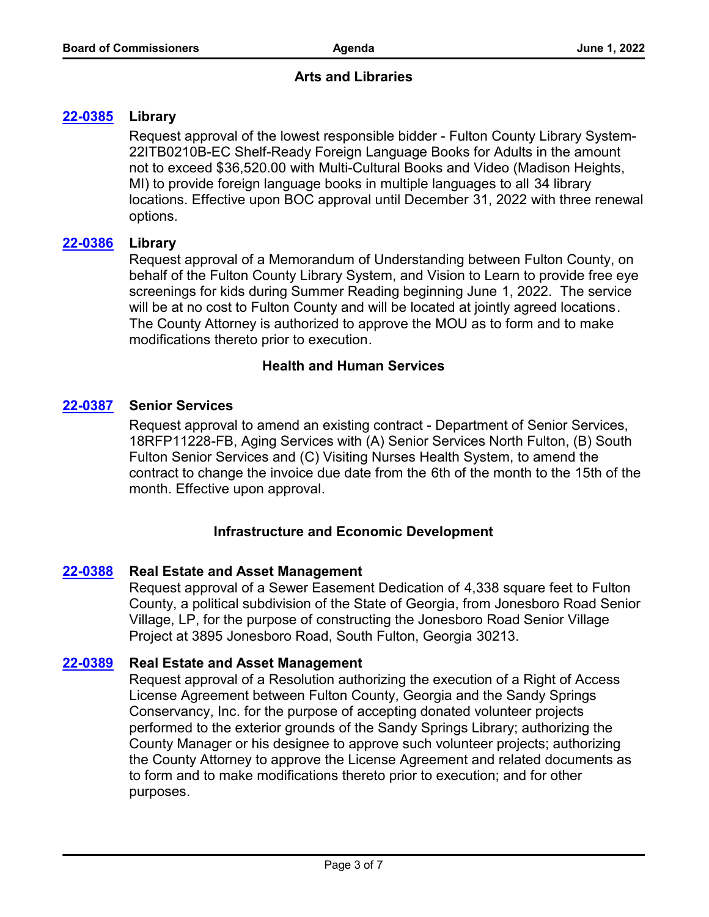# **Arts and Libraries**

# **[22-0385](http://fulton.legistar.com/gateway.aspx?m=l&id=/matter.aspx?key=10736) Library**

Request approval of the lowest responsible bidder - Fulton County Library System-22ITB0210B-EC Shelf-Ready Foreign Language Books for Adults in the amount not to exceed \$36,520.00 with Multi-Cultural Books and Video (Madison Heights, MI) to provide foreign language books in multiple languages to all 34 library locations. Effective upon BOC approval until December 31, 2022 with three renewal options.

## **[22-0386](http://fulton.legistar.com/gateway.aspx?m=l&id=/matter.aspx?key=10869) Library**

Request approval of a Memorandum of Understanding between Fulton County, on behalf of the Fulton County Library System, and Vision to Learn to provide free eye screenings for kids during Summer Reading beginning June 1, 2022. The service will be at no cost to Fulton County and will be located at jointly agreed locations. The County Attorney is authorized to approve the MOU as to form and to make modifications thereto prior to execution.

# **Health and Human Services**

# **[22-0387](http://fulton.legistar.com/gateway.aspx?m=l&id=/matter.aspx?key=10651) Senior Services**

Request approval to amend an existing contract - Department of Senior Services, 18RFP11228-FB, Aging Services with (A) Senior Services North Fulton, (B) South Fulton Senior Services and (C) Visiting Nurses Health System, to amend the contract to change the invoice due date from the 6th of the month to the 15th of the month. Effective upon approval.

## **Infrastructure and Economic Development**

## **[22-0388](http://fulton.legistar.com/gateway.aspx?m=l&id=/matter.aspx?key=10801) Real Estate and Asset Management**

Request approval of a Sewer Easement Dedication of 4,338 square feet to Fulton County, a political subdivision of the State of Georgia, from Jonesboro Road Senior Village, LP, for the purpose of constructing the Jonesboro Road Senior Village Project at 3895 Jonesboro Road, South Fulton, Georgia 30213.

## **[22-0389](http://fulton.legistar.com/gateway.aspx?m=l&id=/matter.aspx?key=10874) Real Estate and Asset Management**

Request approval of a Resolution authorizing the execution of a Right of Access License Agreement between Fulton County, Georgia and the Sandy Springs Conservancy, Inc. for the purpose of accepting donated volunteer projects performed to the exterior grounds of the Sandy Springs Library; authorizing the County Manager or his designee to approve such volunteer projects; authorizing the County Attorney to approve the License Agreement and related documents as to form and to make modifications thereto prior to execution; and for other purposes.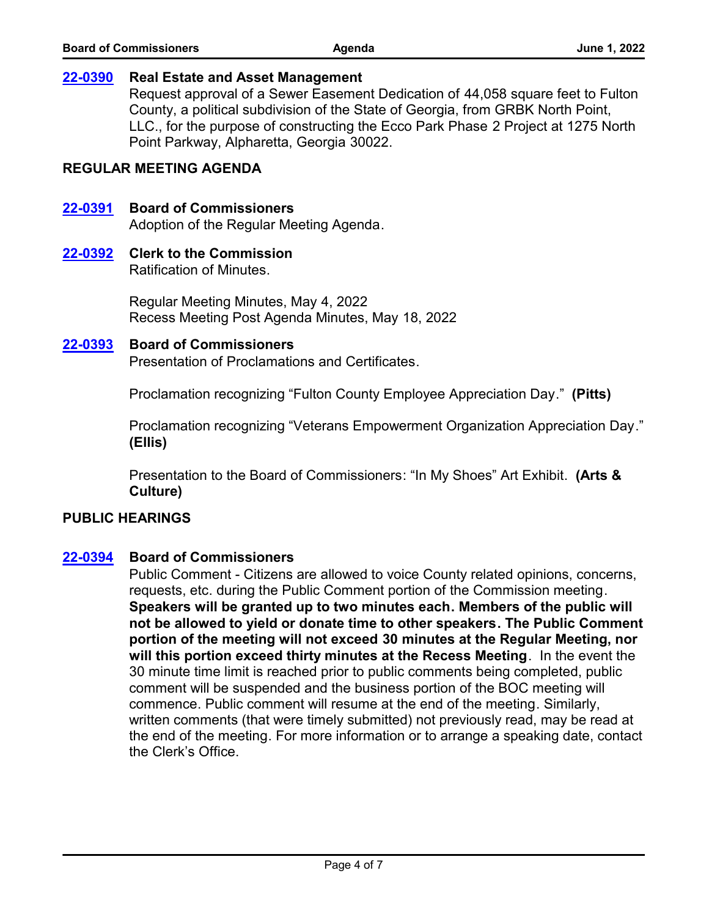#### **[22-0390](http://fulton.legistar.com/gateway.aspx?m=l&id=/matter.aspx?key=10878) Real Estate and Asset Management**

Request approval of a Sewer Easement Dedication of 44,058 square feet to Fulton County, a political subdivision of the State of Georgia, from GRBK North Point, LLC., for the purpose of constructing the Ecco Park Phase 2 Project at 1275 North Point Parkway, Alpharetta, Georgia 30022.

## **REGULAR MEETING AGENDA**

## **[22-0391](http://fulton.legistar.com/gateway.aspx?m=l&id=/matter.aspx?key=10882) Board of Commissioners**

Adoption of the Regular Meeting Agenda.

## **[22-0392](http://fulton.legistar.com/gateway.aspx?m=l&id=/matter.aspx?key=10883) Clerk to the Commission**

Ratification of Minutes.

Regular Meeting Minutes, May 4, 2022 Recess Meeting Post Agenda Minutes, May 18, 2022

#### **[22-0393](http://fulton.legistar.com/gateway.aspx?m=l&id=/matter.aspx?key=10884) Board of Commissioners**

Presentation of Proclamations and Certificates.

Proclamation recognizing "Fulton County Employee Appreciation Day." **(Pitts)**

Proclamation recognizing "Veterans Empowerment Organization Appreciation Day." **(Ellis)**

Presentation to the Board of Commissioners: "In My Shoes" Art Exhibit. **(Arts & Culture)**

## **PUBLIC HEARINGS**

## **[22-0394](http://fulton.legistar.com/gateway.aspx?m=l&id=/matter.aspx?key=10885) Board of Commissioners**

Public Comment - Citizens are allowed to voice County related opinions, concerns, requests, etc. during the Public Comment portion of the Commission meeting. **Speakers will be granted up to two minutes each. Members of the public will not be allowed to yield or donate time to other speakers. The Public Comment portion of the meeting will not exceed 30 minutes at the Regular Meeting, nor will this portion exceed thirty minutes at the Recess Meeting**. In the event the 30 minute time limit is reached prior to public comments being completed, public comment will be suspended and the business portion of the BOC meeting will commence. Public comment will resume at the end of the meeting. Similarly, written comments (that were timely submitted) not previously read, may be read at the end of the meeting. For more information or to arrange a speaking date, contact the Clerk's Office.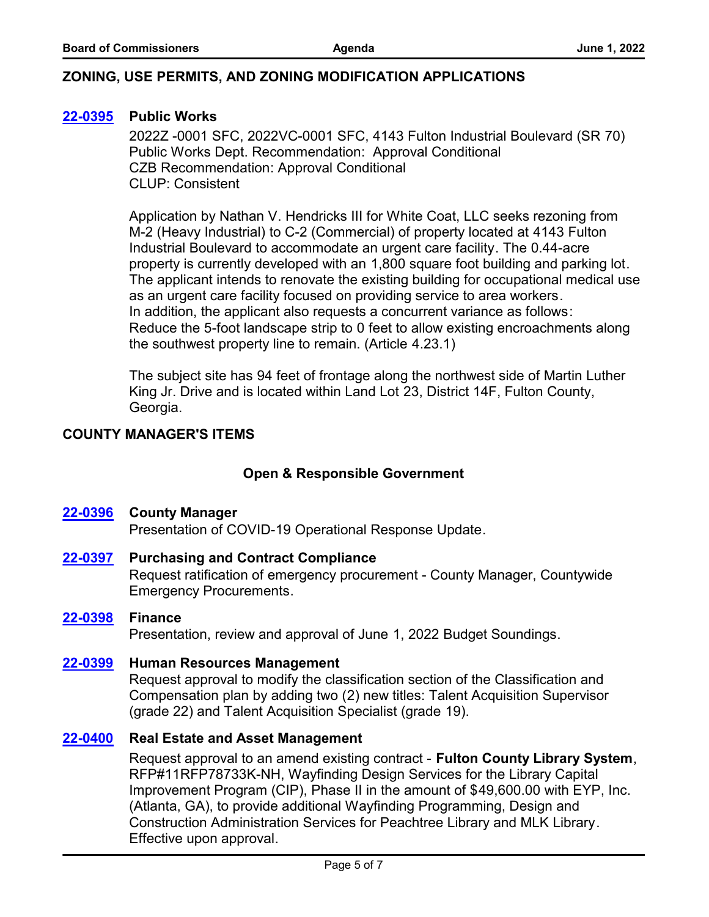# **ZONING, USE PERMITS, AND ZONING MODIFICATION APPLICATIONS**

## **[22-0395](http://fulton.legistar.com/gateway.aspx?m=l&id=/matter.aspx?key=10867) Public Works**

2022Z -0001 SFC, 2022VC-0001 SFC, 4143 Fulton Industrial Boulevard (SR 70) Public Works Dept. Recommendation: Approval Conditional CZB Recommendation: Approval Conditional CLUP: Consistent

Application by Nathan V. Hendricks III for White Coat, LLC seeks rezoning from M-2 (Heavy Industrial) to C-2 (Commercial) of property located at 4143 Fulton Industrial Boulevard to accommodate an urgent care facility. The 0.44-acre property is currently developed with an 1,800 square foot building and parking lot. The applicant intends to renovate the existing building for occupational medical use as an urgent care facility focused on providing service to area workers. In addition, the applicant also requests a concurrent variance as follows: Reduce the 5-foot landscape strip to 0 feet to allow existing encroachments along the southwest property line to remain. (Article 4.23.1)

The subject site has 94 feet of frontage along the northwest side of Martin Luther King Jr. Drive and is located within Land Lot 23, District 14F, Fulton County, Georgia.

# **COUNTY MANAGER'S ITEMS**

# **Open & Responsible Government**

## **[22-0396](http://fulton.legistar.com/gateway.aspx?m=l&id=/matter.aspx?key=10740) County Manager**

Presentation of COVID-19 Operational Response Update.

- Request ratification of emergency procurement County Manager, Countywide Emergency Procurements. **[22-0397](http://fulton.legistar.com/gateway.aspx?m=l&id=/matter.aspx?key=10892) Purchasing and Contract Compliance**
- **[22-0398](http://fulton.legistar.com/gateway.aspx?m=l&id=/matter.aspx?key=10457) Finance**

Presentation, review and approval of June 1, 2022 Budget Soundings.

**[22-0399](http://fulton.legistar.com/gateway.aspx?m=l&id=/matter.aspx?key=10872) Human Resources Management**

Request approval to modify the classification section of the Classification and Compensation plan by adding two (2) new titles: Talent Acquisition Supervisor (grade 22) and Talent Acquisition Specialist (grade 19).

## **[22-0400](http://fulton.legistar.com/gateway.aspx?m=l&id=/matter.aspx?key=10761) Real Estate and Asset Management**

Request approval to an amend existing contract - **Fulton County Library System**, RFP#11RFP78733K-NH, Wayfinding Design Services for the Library Capital Improvement Program (CIP), Phase II in the amount of \$49,600.00 with EYP, Inc. (Atlanta, GA), to provide additional Wayfinding Programming, Design and Construction Administration Services for Peachtree Library and MLK Library. Effective upon approval.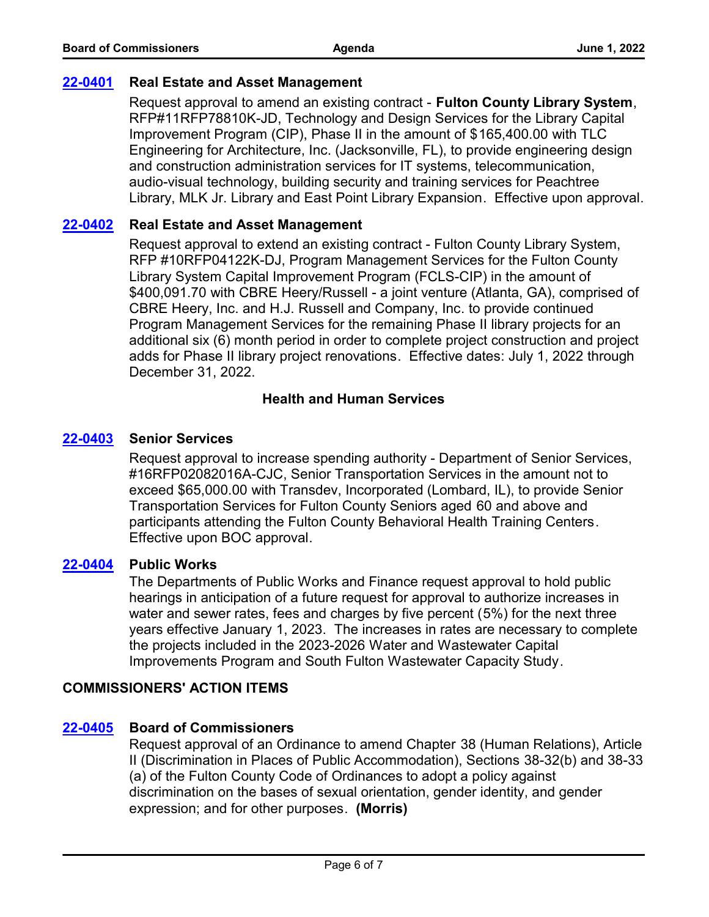## **[22-0401](http://fulton.legistar.com/gateway.aspx?m=l&id=/matter.aspx?key=10800) Real Estate and Asset Management**

Request approval to amend an existing contract - **Fulton County Library System**, RFP#11RFP78810K-JD, Technology and Design Services for the Library Capital Improvement Program (CIP), Phase II in the amount of \$165,400.00 with TLC Engineering for Architecture, Inc. (Jacksonville, FL), to provide engineering design and construction administration services for IT systems, telecommunication, audio-visual technology, building security and training services for Peachtree Library, MLK Jr. Library and East Point Library Expansion. Effective upon approval.

# **[22-0402](http://fulton.legistar.com/gateway.aspx?m=l&id=/matter.aspx?key=10803) Real Estate and Asset Management**

Request approval to extend an existing contract - Fulton County Library System, RFP #10RFP04122K-DJ, Program Management Services for the Fulton County Library System Capital Improvement Program (FCLS-CIP) in the amount of \$400,091.70 with CBRE Heery/Russell - a joint venture (Atlanta, GA), comprised of CBRE Heery, Inc. and H.J. Russell and Company, Inc. to provide continued Program Management Services for the remaining Phase II library projects for an additional six (6) month period in order to complete project construction and project adds for Phase II library project renovations. Effective dates: July 1, 2022 through December 31, 2022.

# **Health and Human Services**

# **[22-0403](http://fulton.legistar.com/gateway.aspx?m=l&id=/matter.aspx?key=10451) Senior Services**

Request approval to increase spending authority - Department of Senior Services, #16RFP02082016A-CJC, Senior Transportation Services in the amount not to exceed \$65,000.00 with Transdev, Incorporated (Lombard, IL), to provide Senior Transportation Services for Fulton County Seniors aged 60 and above and participants attending the Fulton County Behavioral Health Training Centers. Effective upon BOC approval.

## **[22-0404](http://fulton.legistar.com/gateway.aspx?m=l&id=/matter.aspx?key=10870) Public Works**

The Departments of Public Works and Finance request approval to hold public hearings in anticipation of a future request for approval to authorize increases in water and sewer rates, fees and charges by five percent (5%) for the next three years effective January 1, 2023. The increases in rates are necessary to complete the projects included in the 2023-2026 Water and Wastewater Capital Improvements Program and South Fulton Wastewater Capacity Study.

# **COMMISSIONERS' ACTION ITEMS**

# **[22-0405](http://fulton.legistar.com/gateway.aspx?m=l&id=/matter.aspx?key=10899) Board of Commissioners**

Request approval of an Ordinance to amend Chapter 38 (Human Relations), Article II (Discrimination in Places of Public Accommodation), Sections 38-32(b) and 38-33 (a) of the Fulton County Code of Ordinances to adopt a policy against discrimination on the bases of sexual orientation, gender identity, and gender expression; and for other purposes. **(Morris)**